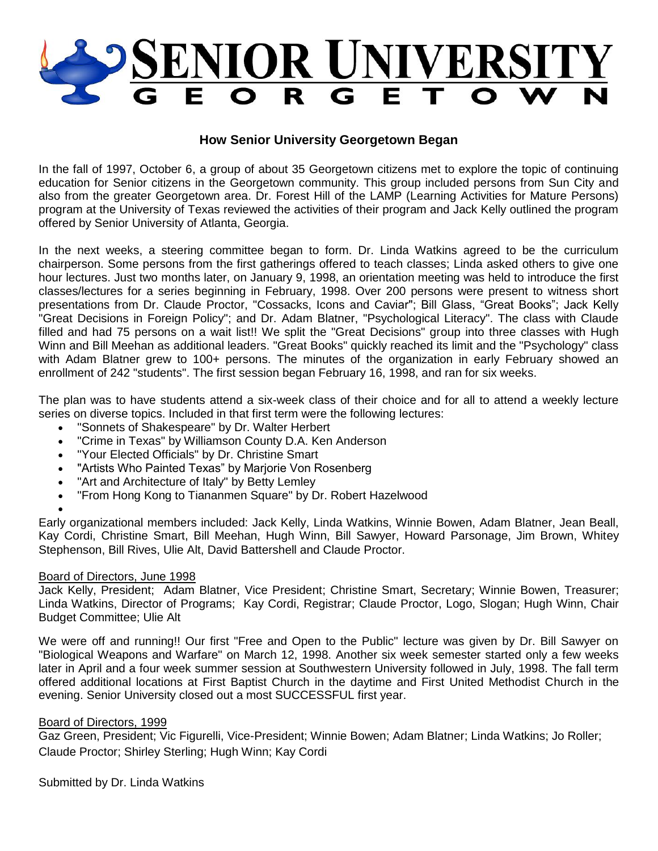

## **How Senior University Georgetown Began**

In the fall of 1997, October 6, a group of about 35 Georgetown citizens met to explore the topic of continuing education for Senior citizens in the Georgetown community. This group included persons from Sun City and also from the greater Georgetown area. Dr. Forest Hill of the LAMP (Learning Activities for Mature Persons) program at the University of Texas reviewed the activities of their program and Jack Kelly outlined the program offered by Senior University of Atlanta, Georgia.

In the next weeks, a steering committee began to form. Dr. Linda Watkins agreed to be the curriculum chairperson. Some persons from the first gatherings offered to teach classes; Linda asked others to give one hour lectures. Just two months later, on January 9, 1998, an orientation meeting was held to introduce the first classes/lectures for a series beginning in February, 1998. Over 200 persons were present to witness short presentations from Dr. Claude Proctor, "Cossacks, Icons and Caviar"; Bill Glass, "Great Books"; Jack Kelly "Great Decisions in Foreign Policy"; and Dr. Adam Blatner, "Psychological Literacy". The class with Claude filled and had 75 persons on a wait list!! We split the "Great Decisions" group into three classes with Hugh Winn and Bill Meehan as additional leaders. "Great Books" quickly reached its limit and the "Psychology" class with Adam Blatner grew to 100+ persons. The minutes of the organization in early February showed an enrollment of 242 "students". The first session began February 16, 1998, and ran for six weeks.

The plan was to have students attend a six-week class of their choice and for all to attend a weekly lecture series on diverse topics. Included in that first term were the following lectures:

- "Sonnets of Shakespeare" by Dr. Walter Herbert
- "Crime in Texas" by Williamson County D.A. Ken Anderson
- "Your Elected Officials" by Dr. Christine Smart
- "Artists Who Painted Texas" by Marjorie Von Rosenberg
- "Art and Architecture of Italy" by Betty Lemley
- "From Hong Kong to Tiananmen Square" by Dr. Robert Hazelwood

Early organizational members included: Jack Kelly, Linda Watkins, Winnie Bowen, Adam Blatner, Jean Beall, Kay Cordi, Christine Smart, Bill Meehan, Hugh Winn, Bill Sawyer, Howard Parsonage, Jim Brown, Whitey Stephenson, Bill Rives, Ulie Alt, David Battershell and Claude Proctor.

## Board of Directors, June 1998

 $\bullet$ 

Jack Kelly, President; Adam Blatner, Vice President; Christine Smart, Secretary; Winnie Bowen, Treasurer; Linda Watkins, Director of Programs; Kay Cordi, Registrar; Claude Proctor, Logo, Slogan; Hugh Winn, Chair Budget Committee; Ulie Alt

We were off and running!! Our first "Free and Open to the Public" lecture was given by Dr. Bill Sawyer on "Biological Weapons and Warfare" on March 12, 1998. Another six week semester started only a few weeks later in April and a four week summer session at Southwestern University followed in July, 1998. The fall term offered additional locations at First Baptist Church in the daytime and First United Methodist Church in the evening. Senior University closed out a most SUCCESSFUL first year.

## Board of Directors, 1999

Gaz Green, President; Vic Figurelli, Vice-President; Winnie Bowen; Adam Blatner; Linda Watkins; Jo Roller; Claude Proctor; Shirley Sterling; Hugh Winn; Kay Cordi

Submitted by Dr. Linda Watkins